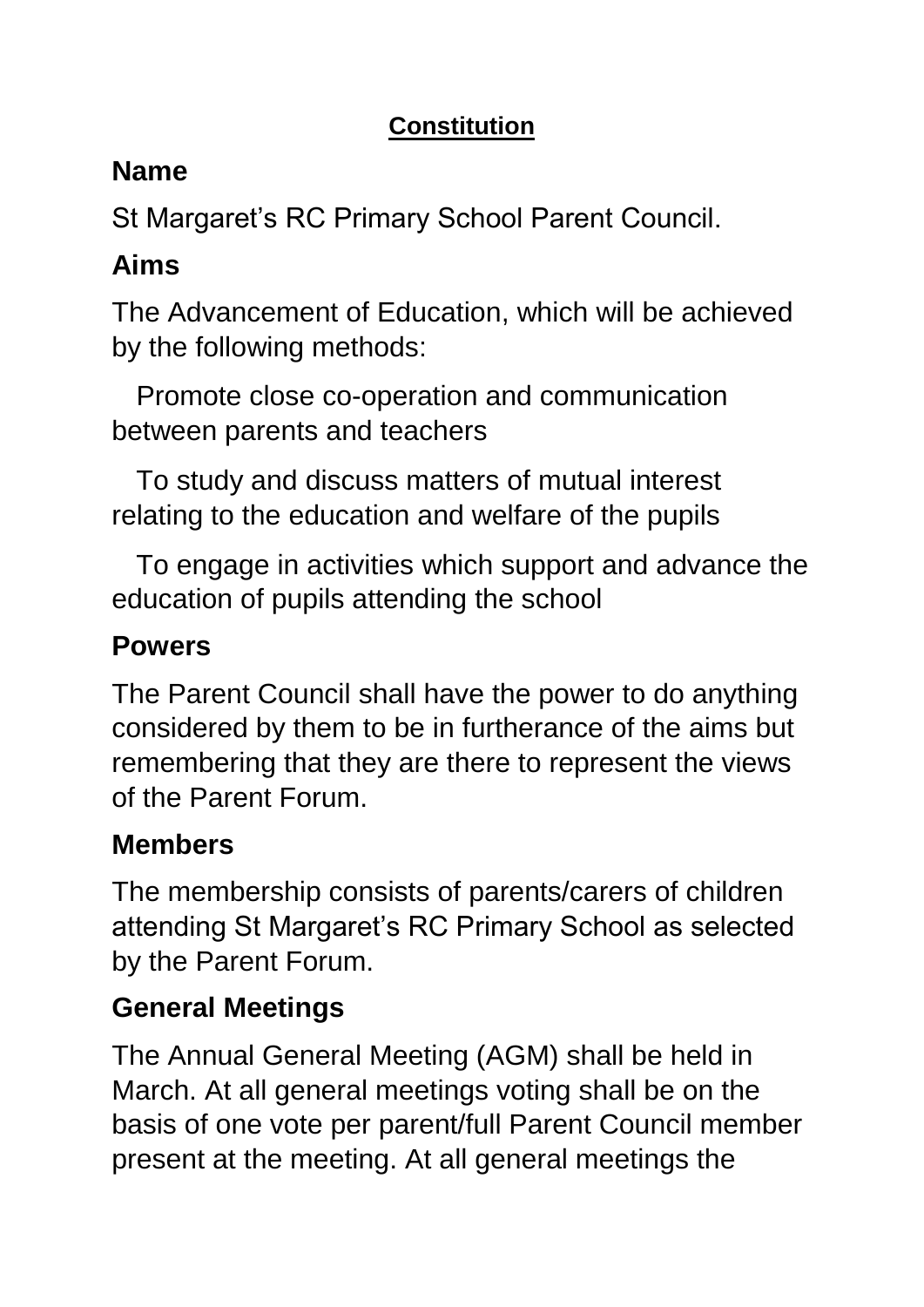#### **Constitution**

# **Name**

St Margaret's RC Primary School Parent Council.

# **Aims**

The Advancement of Education, which will be achieved by the following methods:

Promote close co-operation and communication between parents and teachers

To study and discuss matters of mutual interest relating to the education and welfare of the pupils

To engage in activities which support and advance the education of pupils attending the school

# **Powers**

The Parent Council shall have the power to do anything considered by them to be in furtherance of the aims but remembering that they are there to represent the views of the Parent Forum.

## **Members**

The membership consists of parents/carers of children attending St Margaret's RC Primary School as selected by the Parent Forum.

## **General Meetings**

The Annual General Meeting (AGM) shall be held in March. At all general meetings voting shall be on the basis of one vote per parent/full Parent Council member present at the meeting. At all general meetings the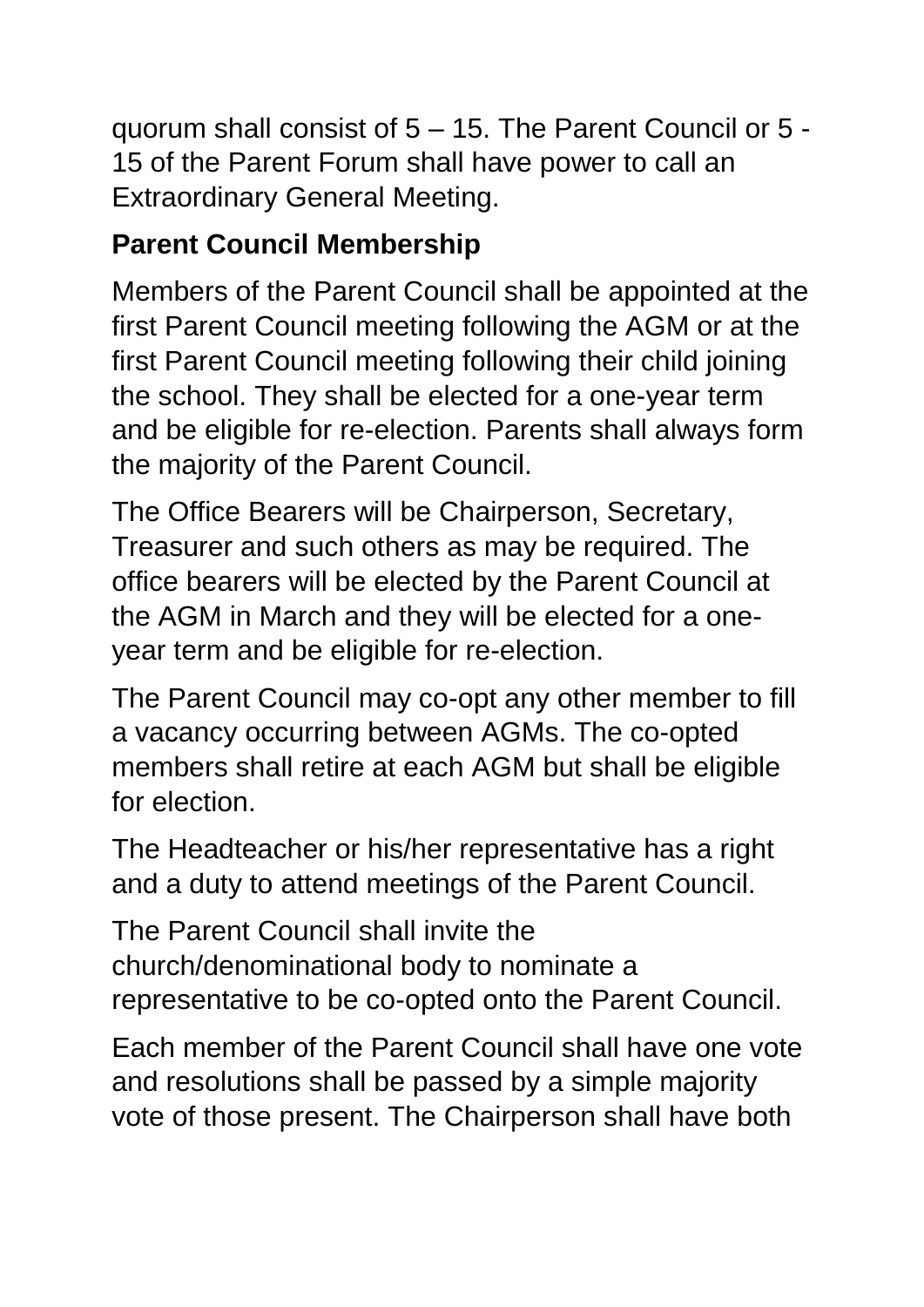quorum shall consist of 5 – 15. The Parent Council or 5 - 15 of the Parent Forum shall have power to call an Extraordinary General Meeting.

## **Parent Council Membership**

Members of the Parent Council shall be appointed at the first Parent Council meeting following the AGM or at the first Parent Council meeting following their child joining the school. They shall be elected for a one-year term and be eligible for re-election. Parents shall always form the majority of the Parent Council.

The Office Bearers will be Chairperson, Secretary, Treasurer and such others as may be required. The office bearers will be elected by the Parent Council at the AGM in March and they will be elected for a oneyear term and be eligible for re-election.

The Parent Council may co-opt any other member to fill a vacancy occurring between AGMs. The co-opted members shall retire at each AGM but shall be eligible for election.

The Headteacher or his/her representative has a right and a duty to attend meetings of the Parent Council.

The Parent Council shall invite the church/denominational body to nominate a representative to be co-opted onto the Parent Council.

Each member of the Parent Council shall have one vote and resolutions shall be passed by a simple majority vote of those present. The Chairperson shall have both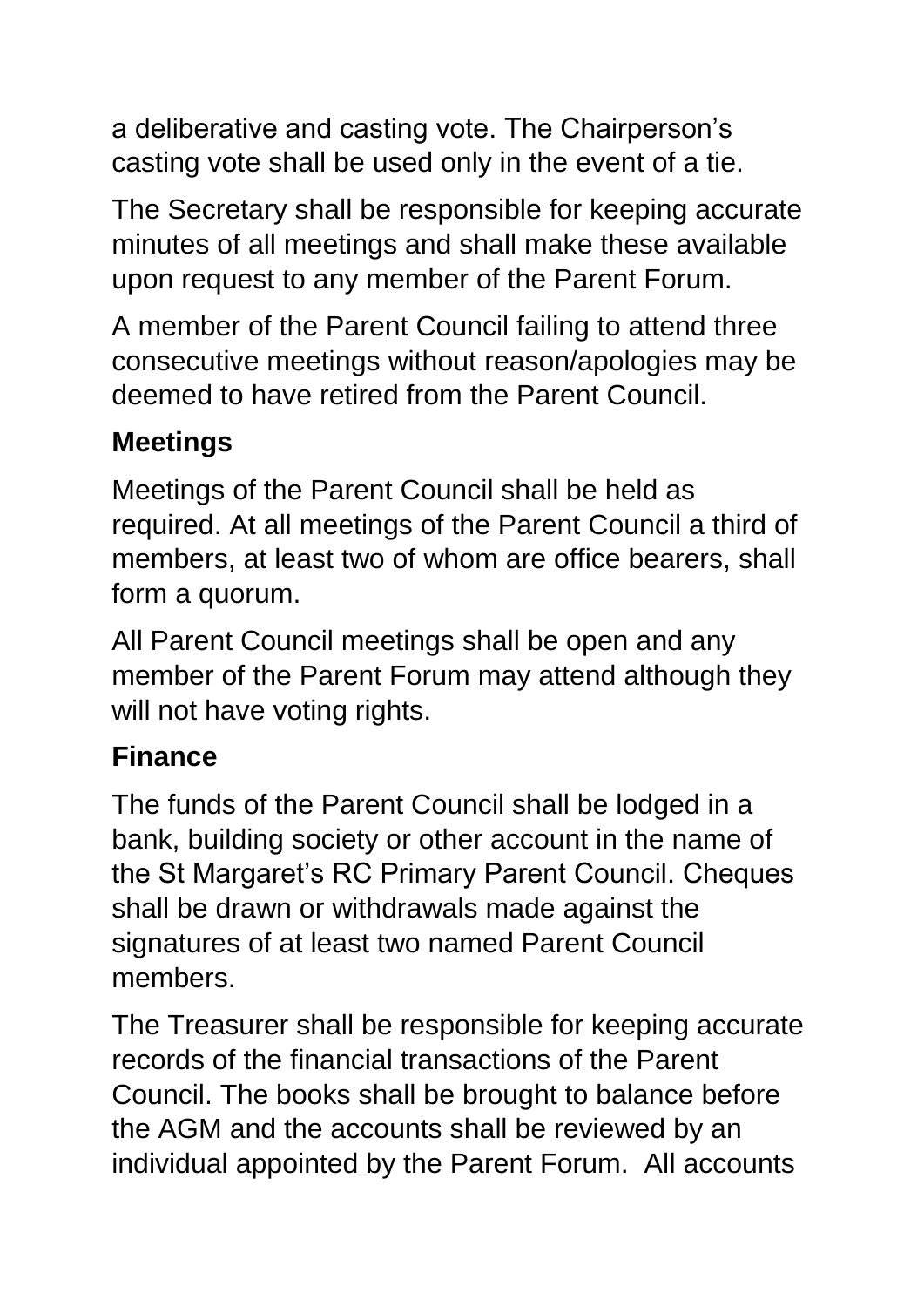a deliberative and casting vote. The Chairperson's casting vote shall be used only in the event of a tie.

The Secretary shall be responsible for keeping accurate minutes of all meetings and shall make these available upon request to any member of the Parent Forum.

A member of the Parent Council failing to attend three consecutive meetings without reason/apologies may be deemed to have retired from the Parent Council.

#### **Meetings**

Meetings of the Parent Council shall be held as required. At all meetings of the Parent Council a third of members, at least two of whom are office bearers, shall form a quorum.

All Parent Council meetings shall be open and any member of the Parent Forum may attend although they will not have voting rights.

## **Finance**

The funds of the Parent Council shall be lodged in a bank, building society or other account in the name of the St Margaret's RC Primary Parent Council. Cheques shall be drawn or withdrawals made against the signatures of at least two named Parent Council members.

The Treasurer shall be responsible for keeping accurate records of the financial transactions of the Parent Council. The books shall be brought to balance before the AGM and the accounts shall be reviewed by an individual appointed by the Parent Forum. All accounts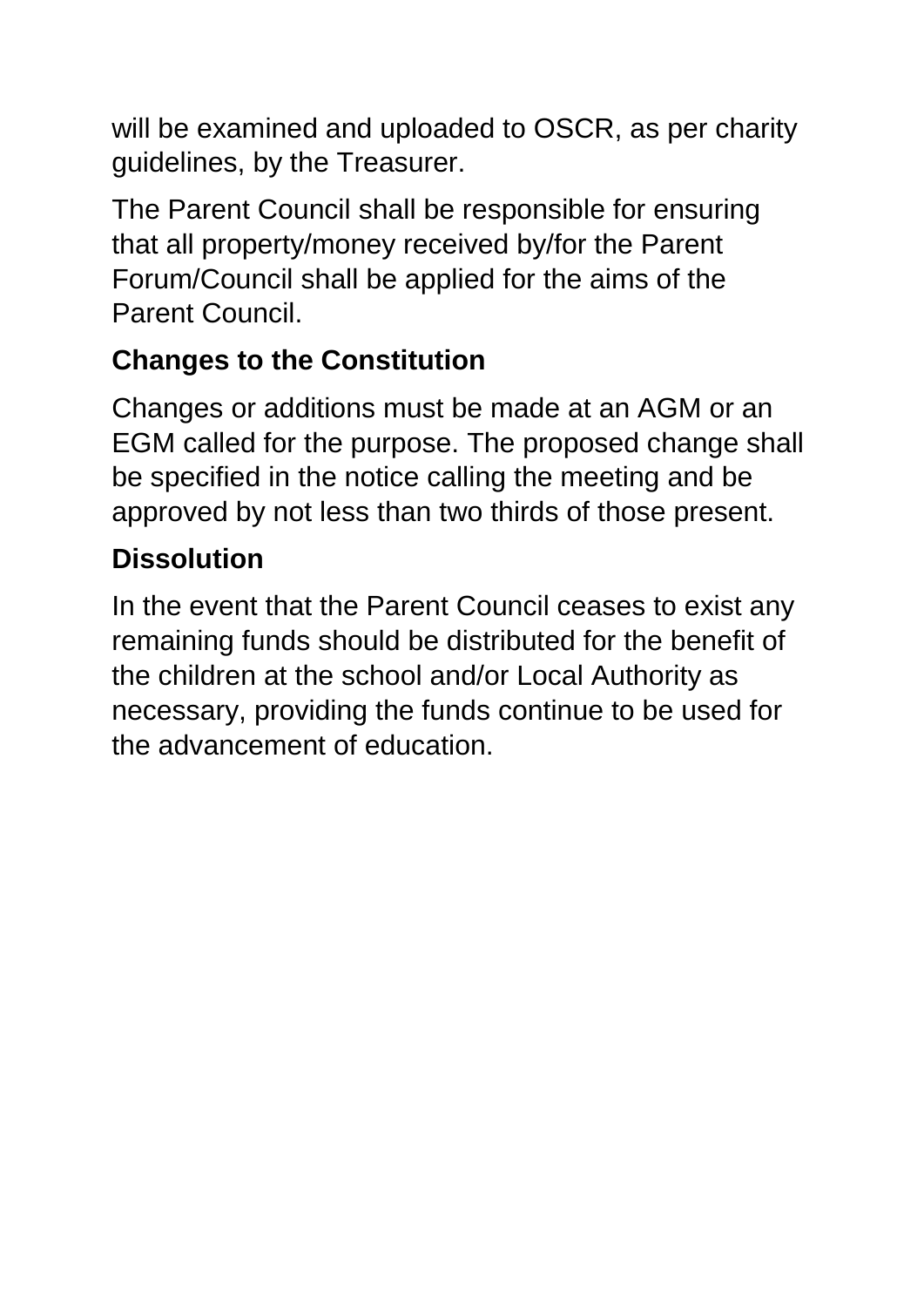will be examined and uploaded to OSCR, as per charity guidelines, by the Treasurer.

The Parent Council shall be responsible for ensuring that all property/money received by/for the Parent Forum/Council shall be applied for the aims of the Parent Council.

## **Changes to the Constitution**

Changes or additions must be made at an AGM or an EGM called for the purpose. The proposed change shall be specified in the notice calling the meeting and be approved by not less than two thirds of those present.

# **Dissolution**

In the event that the Parent Council ceases to exist any remaining funds should be distributed for the benefit of the children at the school and/or Local Authority as necessary, providing the funds continue to be used for the advancement of education.